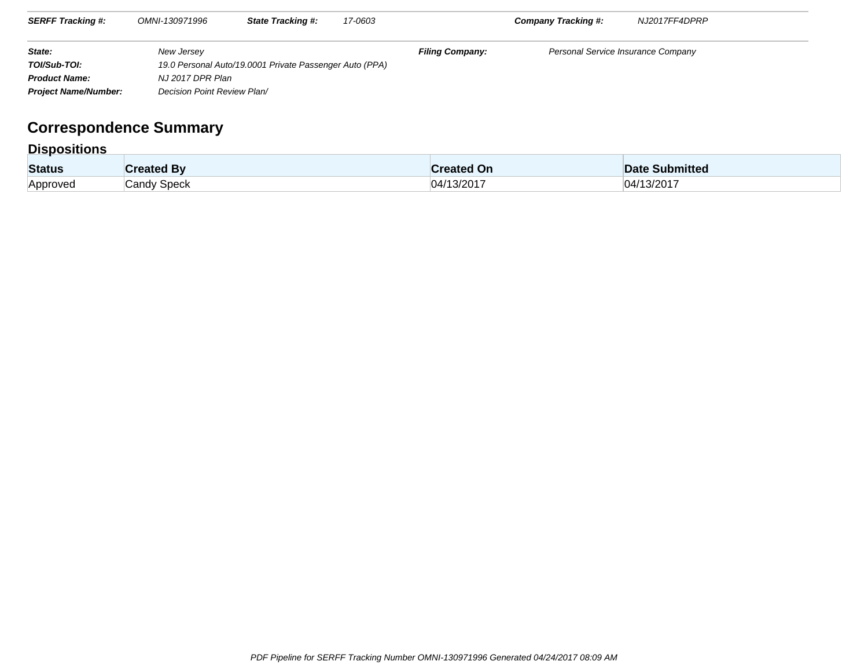| <b>SERFF Tracking #:</b>    | OMNI-130971996              | <b>State Tracking #:</b>                                | 17-0603 |                        | <b>Company Tracking #:</b>         | NJ2017FF4DPRP |
|-----------------------------|-----------------------------|---------------------------------------------------------|---------|------------------------|------------------------------------|---------------|
| State:                      | New Jersey                  |                                                         |         | <b>Filing Company:</b> | Personal Service Insurance Company |               |
| TOI/Sub-TOI:                |                             | 19.0 Personal Auto/19.0001 Private Passenger Auto (PPA) |         |                        |                                    |               |
| <b>Product Name:</b>        | NJ 2017 DPR Plan            |                                                         |         |                        |                                    |               |
| <b>Project Name/Number:</b> | Decision Point Review Plan/ |                                                         |         |                        |                                    |               |

## **Correspondence Summary**

## **Dispositions**

| <b>Status</b> | ™ated By    | `reated On                           | <b>Submitted</b><br>Date |
|---------------|-------------|--------------------------------------|--------------------------|
| Approved      | Candy Speck | $3/201$ <sup>-</sup><br>$\mathbf{1}$ | 13/2017<br>ΙA            |